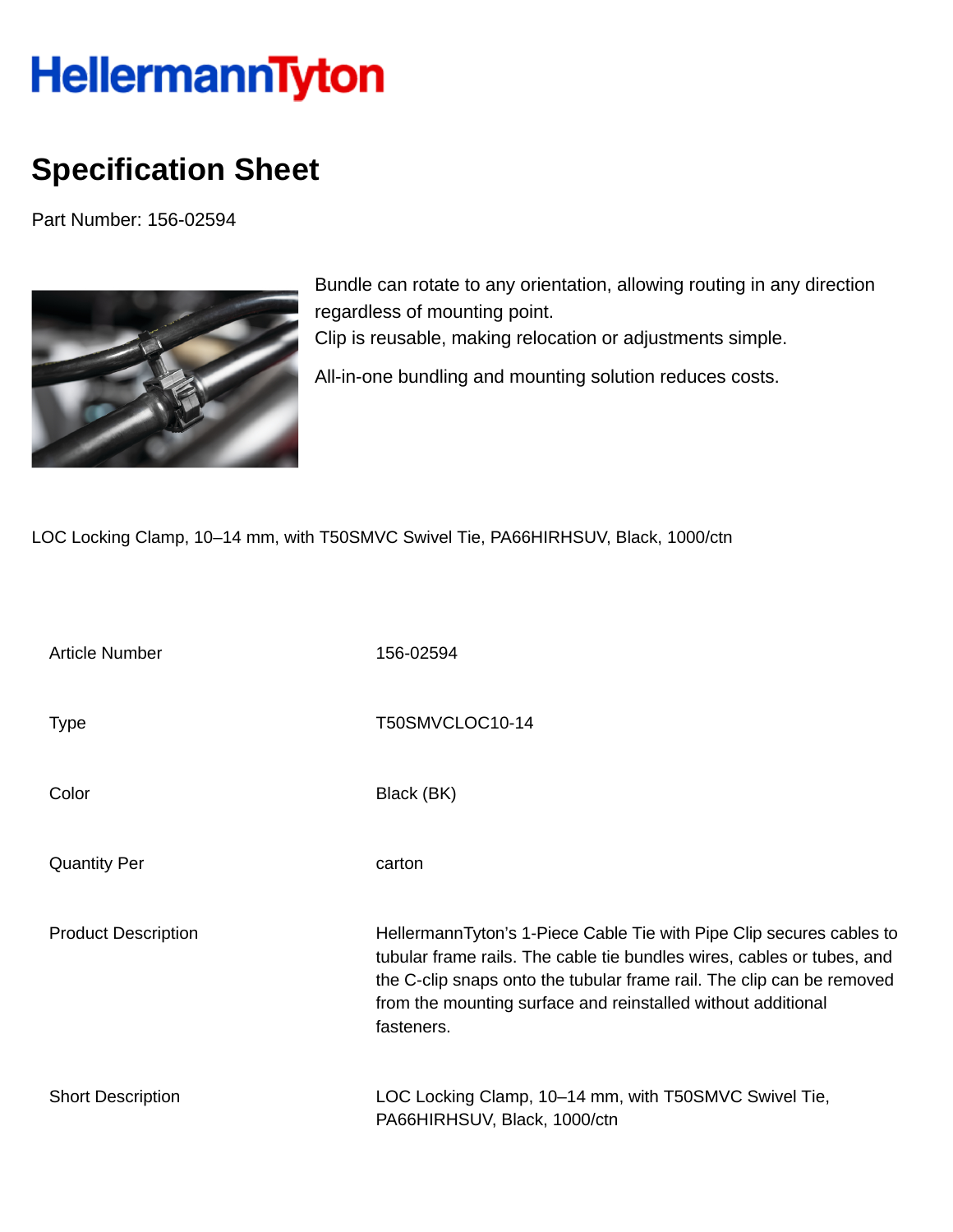## HellermannTyton

## **Specification Sheet**

Part Number: 156-02594



Bundle can rotate to any orientation, allowing routing in any direction regardless of mounting point. Clip is reusable, making relocation or adjustments simple. All-in-one bundling and mounting solution reduces costs.

LOC Locking Clamp, 10–14 mm, with T50SMVC Swivel Tie, PA66HIRHSUV, Black, 1000/ctn

| <b>Article Number</b>      | 156-02594                                                                                                                                                                                                                                                                                             |
|----------------------------|-------------------------------------------------------------------------------------------------------------------------------------------------------------------------------------------------------------------------------------------------------------------------------------------------------|
| <b>Type</b>                | T50SMVCLOC10-14                                                                                                                                                                                                                                                                                       |
| Color                      | Black (BK)                                                                                                                                                                                                                                                                                            |
| <b>Quantity Per</b>        | carton                                                                                                                                                                                                                                                                                                |
| <b>Product Description</b> | HellermannTyton's 1-Piece Cable Tie with Pipe Clip secures cables to<br>tubular frame rails. The cable tie bundles wires, cables or tubes, and<br>the C-clip snaps onto the tubular frame rail. The clip can be removed<br>from the mounting surface and reinstalled without additional<br>fasteners. |
| <b>Short Description</b>   | LOC Locking Clamp, 10–14 mm, with T50SMVC Swivel Tie,<br>PA66HIRHSUV, Black, 1000/ctn                                                                                                                                                                                                                 |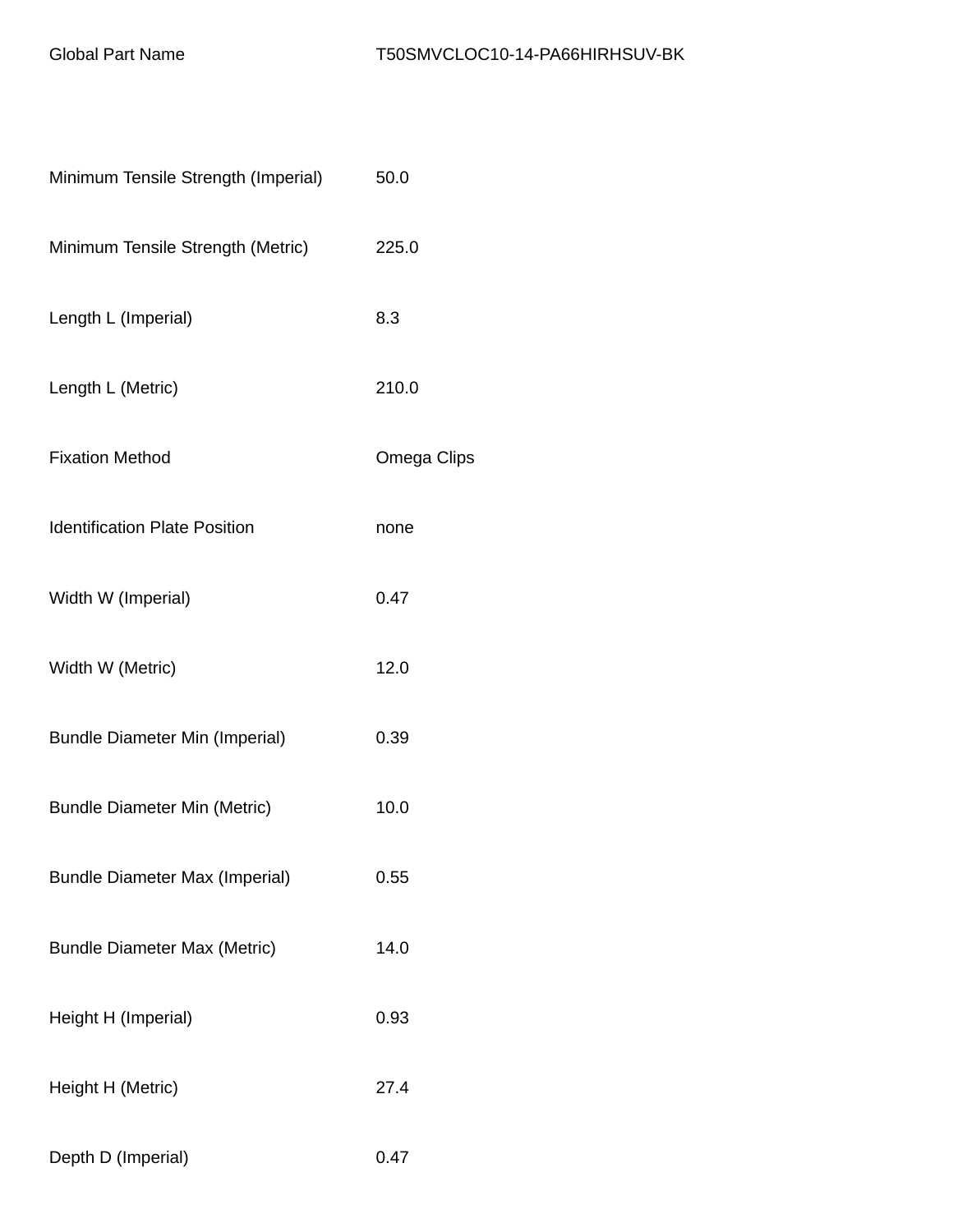| Minimum Tensile Strength (Imperial)   | 50.0        |
|---------------------------------------|-------------|
| Minimum Tensile Strength (Metric)     | 225.0       |
| Length L (Imperial)                   | 8.3         |
| Length L (Metric)                     | 210.0       |
| <b>Fixation Method</b>                | Omega Clips |
| <b>Identification Plate Position</b>  | none        |
| Width W (Imperial)                    | 0.47        |
| Width W (Metric)                      | 12.0        |
| <b>Bundle Diameter Min (Imperial)</b> | 0.39        |
| <b>Bundle Diameter Min (Metric)</b>   | 10.0        |
| <b>Bundle Diameter Max (Imperial)</b> | 0.55        |
| <b>Bundle Diameter Max (Metric)</b>   | 14.0        |
| Height H (Imperial)                   | 0.93        |
| Height H (Metric)                     | 27.4        |
| Depth D (Imperial)                    | 0.47        |